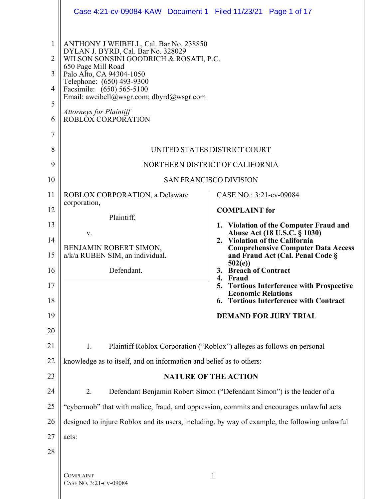|                                                         | Case 4:21-cv-09084-KAW Document 1 Filed 11/23/21 Page 1 of 17                                                                                                                                                                                                                                                                          |                                                                             |
|---------------------------------------------------------|----------------------------------------------------------------------------------------------------------------------------------------------------------------------------------------------------------------------------------------------------------------------------------------------------------------------------------------|-----------------------------------------------------------------------------|
| $\mathbf{1}$<br>$\overline{2}$<br>3<br>4<br>5<br>6<br>7 | ANTHONY J WEIBELL, Cal. Bar No. 238850<br>DYLAN J. BYRD, Cal. Bar No. 328029<br>WILSON SONSINI GOODRICH & ROSATI, P.C.<br>650 Page Mill Road<br>Palo Alto, CA 94304-1050<br>Telephone: (650) 493-9300<br>Facsimile: (650) 565-5100<br>Email: aweibell@wsgr.com; dbyrd@wsgr.com<br><b>Attorneys for Plaintiff</b><br>ROBLOX CORPORATION |                                                                             |
| 8                                                       |                                                                                                                                                                                                                                                                                                                                        | UNITED STATES DISTRICT COURT                                                |
| 9                                                       |                                                                                                                                                                                                                                                                                                                                        | NORTHERN DISTRICT OF CALIFORNIA                                             |
| 10                                                      |                                                                                                                                                                                                                                                                                                                                        | <b>SAN FRANCISCO DIVISION</b>                                               |
| 11                                                      | ROBLOX CORPORATION, a Delaware<br>corporation,                                                                                                                                                                                                                                                                                         | CASE NO.: 3:21-cv-09084                                                     |
| 12                                                      | Plaintiff,                                                                                                                                                                                                                                                                                                                             | <b>COMPLAINT</b> for                                                        |
| 13                                                      | V.                                                                                                                                                                                                                                                                                                                                     | 1. Violation of the Computer Fraud and<br>Abuse Act (18 U.S.C. § 1030)      |
| 14                                                      | BENJAMIN ROBERT SIMON,                                                                                                                                                                                                                                                                                                                 | 2. Violation of the California<br><b>Comprehensive Computer Data Access</b> |
| 15                                                      | a/k/a RUBEN SIM, an individual.                                                                                                                                                                                                                                                                                                        | and Fraud Act (Cal. Penal Code §<br>502(e)                                  |
| 16                                                      | Defendant.                                                                                                                                                                                                                                                                                                                             | 3. Breach of Contract<br>4. Fraud                                           |
| 17                                                      |                                                                                                                                                                                                                                                                                                                                        | <b>Tortious Interference with Prospective</b><br><b>Economic Relations</b>  |
| 18                                                      |                                                                                                                                                                                                                                                                                                                                        | <b>Tortious Interference with Contract</b><br>6.                            |
| 19                                                      |                                                                                                                                                                                                                                                                                                                                        | <b>DEMAND FOR JURY TRIAL</b>                                                |
| 20                                                      |                                                                                                                                                                                                                                                                                                                                        |                                                                             |
| 21                                                      | 1.                                                                                                                                                                                                                                                                                                                                     | Plaintiff Roblox Corporation ("Roblox") alleges as follows on personal      |
| 22                                                      | knowledge as to itself, and on information and belief as to others:                                                                                                                                                                                                                                                                    |                                                                             |
| 23                                                      |                                                                                                                                                                                                                                                                                                                                        | <b>NATURE OF THE ACTION</b>                                                 |
| 24                                                      | 2.                                                                                                                                                                                                                                                                                                                                     | Defendant Benjamin Robert Simon ("Defendant Simon") is the leader of a      |
| 25                                                      | "cybermob" that with malice, fraud, and oppression, commits and encourages unlawful acts                                                                                                                                                                                                                                               |                                                                             |
| 26                                                      | designed to injure Roblox and its users, including, by way of example, the following unlawful                                                                                                                                                                                                                                          |                                                                             |
| 27                                                      | acts:                                                                                                                                                                                                                                                                                                                                  |                                                                             |
| 28                                                      |                                                                                                                                                                                                                                                                                                                                        |                                                                             |
|                                                         |                                                                                                                                                                                                                                                                                                                                        |                                                                             |
|                                                         | <b>COMPLAINT</b>                                                                                                                                                                                                                                                                                                                       | $\mathbf{1}$                                                                |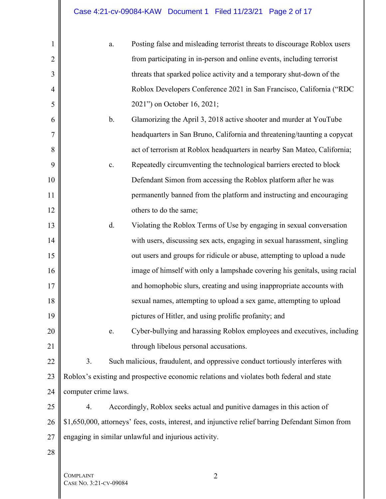| $\mathbf{1}$   | a.                   | Posting false and misleading terrorist threats to discourage Roblox users                         |
|----------------|----------------------|---------------------------------------------------------------------------------------------------|
| $\overline{2}$ |                      | from participating in in-person and online events, including terrorist                            |
| 3              |                      | threats that sparked police activity and a temporary shut-down of the                             |
| $\overline{4}$ |                      | Roblox Developers Conference 2021 in San Francisco, California ("RDC                              |
| 5              |                      | 2021") on October 16, 2021;                                                                       |
| 6              | $b$ .                | Glamorizing the April 3, 2018 active shooter and murder at YouTube                                |
| $\overline{7}$ |                      | headquarters in San Bruno, California and threatening/taunting a copycat                          |
| 8              |                      | act of terrorism at Roblox headquarters in nearby San Mateo, California;                          |
| 9              | $\mathbf{c}$ .       | Repeatedly circumventing the technological barriers erected to block                              |
| 10             |                      | Defendant Simon from accessing the Roblox platform after he was                                   |
| 11             |                      | permanently banned from the platform and instructing and encouraging                              |
| 12             |                      | others to do the same;                                                                            |
| 13             | d.                   | Violating the Roblox Terms of Use by engaging in sexual conversation                              |
| 14             |                      | with users, discussing sex acts, engaging in sexual harassment, singling                          |
| 15             |                      | out users and groups for ridicule or abuse, attempting to upload a nude                           |
| 16             |                      | image of himself with only a lampshade covering his genitals, using racial                        |
| 17             |                      | and homophobic slurs, creating and using inappropriate accounts with                              |
| 18             |                      | sexual names, attempting to upload a sex game, attempting to upload                               |
| 19             |                      | pictures of Hitler, and using prolific profanity; and                                             |
| 20             | e.                   | Cyber-bullying and harassing Roblox employees and executives, including                           |
| 21             |                      | through libelous personal accusations.                                                            |
| 22             | 3.                   | Such malicious, fraudulent, and oppressive conduct tortiously interferes with                     |
| 23             |                      | Roblox's existing and prospective economic relations and violates both federal and state          |
| 24             | computer crime laws. |                                                                                                   |
| 25             | 4.                   | Accordingly, Roblox seeks actual and punitive damages in this action of                           |
| 26             |                      | \$1,650,000, attorneys' fees, costs, interest, and injunctive relief barring Defendant Simon from |
| 27             |                      | engaging in similar unlawful and injurious activity.                                              |
| 28             |                      |                                                                                                   |
|                | <b>COMPLAINT</b>     | $\overline{2}$                                                                                    |
|                |                      |                                                                                                   |

COMPLAINT CASE NO. 3:21-CV-09084

 $\mathbf{I}$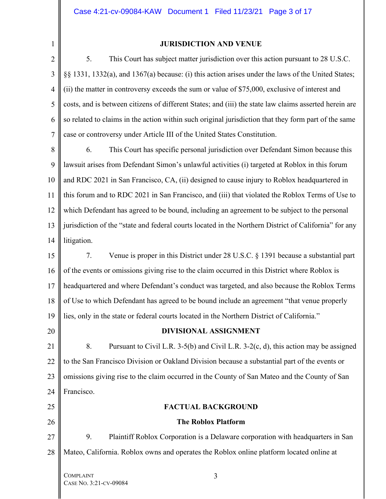1

#### **JURISDICTION AND VENUE**

2 3 4 5 6 7 5. This Court has subject matter jurisdiction over this action pursuant to 28 U.S.C. §§ 1331, 1332(a), and 1367(a) because: (i) this action arises under the laws of the United States; (ii) the matter in controversy exceeds the sum or value of \$75,000, exclusive of interest and costs, and is between citizens of different States; and (iii) the state law claims asserted herein are so related to claims in the action within such original jurisdiction that they form part of the same case or controversy under Article III of the United States Constitution.

8 9 10 11 12 13 14 6. This Court has specific personal jurisdiction over Defendant Simon because this lawsuit arises from Defendant Simon's unlawful activities (i) targeted at Roblox in this forum and RDC 2021 in San Francisco, CA, (ii) designed to cause injury to Roblox headquartered in this forum and to RDC 2021 in San Francisco, and (iii) that violated the Roblox Terms of Use to which Defendant has agreed to be bound, including an agreement to be subject to the personal jurisdiction of the "state and federal courts located in the Northern District of California" for any litigation.

15 16 17 18 19 7. Venue is proper in this District under 28 U.S.C. § 1391 because a substantial part of the events or omissions giving rise to the claim occurred in this District where Roblox is headquartered and where Defendant's conduct was targeted, and also because the Roblox Terms of Use to which Defendant has agreed to be bound include an agreement "that venue properly lies, only in the state or federal courts located in the Northern District of California."

# 20

## **DIVISIONAL ASSIGNMENT**

21 22 23 24 8. Pursuant to Civil L.R. 3-5(b) and Civil L.R. 3-2(c, d), this action may be assigned to the San Francisco Division or Oakland Division because a substantial part of the events or omissions giving rise to the claim occurred in the County of San Mateo and the County of San Francisco.

# 25 26

## **FACTUAL BACKGROUND**

## **The Roblox Platform**

27 28 9. Plaintiff Roblox Corporation is a Delaware corporation with headquarters in San Mateo, California. Roblox owns and operates the Roblox online platform located online at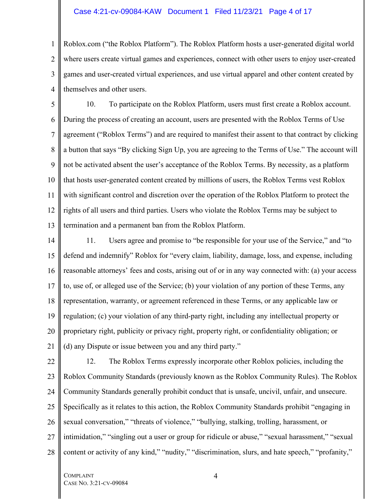#### Case 4:21-cv-09084-KAW Document 1 Filed 11/23/21 Page 4 of 17

1 2 3 4 Roblox.com ("the Roblox Platform"). The Roblox Platform hosts a user-generated digital world where users create virtual games and experiences, connect with other users to enjoy user-created games and user-created virtual experiences, and use virtual apparel and other content created by themselves and other users.

5 6 7 8 9 10 11 12 13 10. To participate on the Roblox Platform, users must first create a Roblox account. During the process of creating an account, users are presented with the Roblox Terms of Use agreement ("Roblox Terms") and are required to manifest their assent to that contract by clicking a button that says "By clicking Sign Up, you are agreeing to the Terms of Use." The account will not be activated absent the user's acceptance of the Roblox Terms. By necessity, as a platform that hosts user-generated content created by millions of users, the Roblox Terms vest Roblox with significant control and discretion over the operation of the Roblox Platform to protect the rights of all users and third parties. Users who violate the Roblox Terms may be subject to termination and a permanent ban from the Roblox Platform.

14 15 16 17 18 19 20 21 11. Users agree and promise to "be responsible for your use of the Service," and "to defend and indemnify" Roblox for "every claim, liability, damage, loss, and expense, including reasonable attorneys' fees and costs, arising out of or in any way connected with: (a) your access to, use of, or alleged use of the Service; (b) your violation of any portion of these Terms, any representation, warranty, or agreement referenced in these Terms, or any applicable law or regulation; (c) your violation of any third-party right, including any intellectual property or proprietary right, publicity or privacy right, property right, or confidentiality obligation; or (d) any Dispute or issue between you and any third party."

22 23 24 25 26 27 28 12. The Roblox Terms expressly incorporate other Roblox policies, including the Roblox Community Standards (previously known as the Roblox Community Rules). The Roblox Community Standards generally prohibit conduct that is unsafe, uncivil, unfair, and unsecure. Specifically as it relates to this action, the Roblox Community Standards prohibit "engaging in sexual conversation," "threats of violence," "bullying, stalking, trolling, harassment, or intimidation," "singling out a user or group for ridicule or abuse," "sexual harassment," "sexual content or activity of any kind," "nudity," "discrimination, slurs, and hate speech," "profanity,"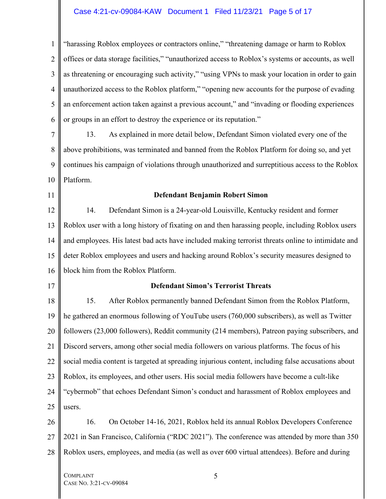### Case 4:21-cv-09084-KAW Document 1 Filed 11/23/21 Page 5 of 17

1 2 3 4 5 6 "harassing Roblox employees or contractors online," "threatening damage or harm to Roblox offices or data storage facilities," "unauthorized access to Roblox's systems or accounts, as well as threatening or encouraging such activity," "using VPNs to mask your location in order to gain unauthorized access to the Roblox platform," "opening new accounts for the purpose of evading an enforcement action taken against a previous account," and "invading or flooding experiences or groups in an effort to destroy the experience or its reputation."

7 8 9 10 13. As explained in more detail below, Defendant Simon violated every one of the above prohibitions, was terminated and banned from the Roblox Platform for doing so, and yet continues his campaign of violations through unauthorized and surreptitious access to the Roblox Platform.

11

#### **Defendant Benjamin Robert Simon**

12 13 14 15 16 14. Defendant Simon is a 24-year-old Louisville, Kentucky resident and former Roblox user with a long history of fixating on and then harassing people, including Roblox users and employees. His latest bad acts have included making terrorist threats online to intimidate and deter Roblox employees and users and hacking around Roblox's security measures designed to block him from the Roblox Platform.

17

#### **Defendant Simon's Terrorist Threats**

18 19 20 21 22 23 24 25 15. After Roblox permanently banned Defendant Simon from the Roblox Platform, he gathered an enormous following of YouTube users (760,000 subscribers), as well as Twitter followers (23,000 followers), Reddit community (214 members), Patreon paying subscribers, and Discord servers, among other social media followers on various platforms. The focus of his social media content is targeted at spreading injurious content, including false accusations about Roblox, its employees, and other users. His social media followers have become a cult-like "cybermob" that echoes Defendant Simon's conduct and harassment of Roblox employees and users.

26 27 28 16. On October 14-16, 2021, Roblox held its annual Roblox Developers Conference 2021 in San Francisco, California ("RDC 2021"). The conference was attended by more than 350 Roblox users, employees, and media (as well as over 600 virtual attendees). Before and during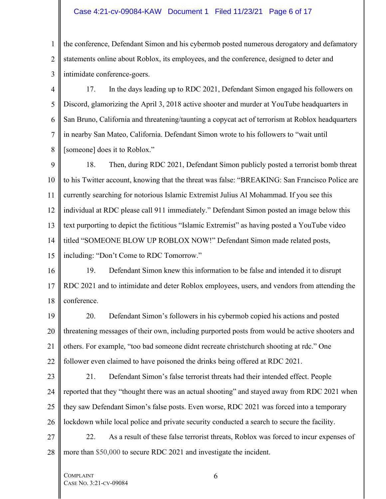#### Case 4:21-cv-09084-KAW Document 1 Filed 11/23/21 Page 6 of 17

1 2 3 the conference, Defendant Simon and his cybermob posted numerous derogatory and defamatory statements online about Roblox, its employees, and the conference, designed to deter and intimidate conference-goers.

4 5 6 7 8 17. In the days leading up to RDC 2021, Defendant Simon engaged his followers on Discord, glamorizing the April 3, 2018 active shooter and murder at YouTube headquarters in San Bruno, California and threatening/taunting a copycat act of terrorism at Roblox headquarters in nearby San Mateo, California. Defendant Simon wrote to his followers to "wait until [someone] does it to Roblox."

9 10 11 12 13 14 15 18. Then, during RDC 2021, Defendant Simon publicly posted a terrorist bomb threat to his Twitter account, knowing that the threat was false: "BREAKING: San Francisco Police are currently searching for notorious Islamic Extremist Julius Al Mohammad. If you see this individual at RDC please call 911 immediately." Defendant Simon posted an image below this text purporting to depict the fictitious "Islamic Extremist" as having posted a YouTube video titled "SOMEONE BLOW UP ROBLOX NOW!" Defendant Simon made related posts, including: "Don't Come to RDC Tomorrow."

16 17 18 19. Defendant Simon knew this information to be false and intended it to disrupt RDC 2021 and to intimidate and deter Roblox employees, users, and vendors from attending the conference.

19 20 21 22 20. Defendant Simon's followers in his cybermob copied his actions and posted threatening messages of their own, including purported posts from would be active shooters and others. For example, "too bad someone didnt recreate christchurch shooting at rdc." One follower even claimed to have poisoned the drinks being offered at RDC 2021.

- 21. Defendant Simon's false terrorist threats had their intended effect. People reported that they "thought there was an actual shooting" and stayed away from RDC 2021 when they saw Defendant Simon's false posts. Even worse, RDC 2021 was forced into a temporary lockdown while local police and private security conducted a search to secure the facility.
- 27 28 22. As a result of these false terrorist threats, Roblox was forced to incur expenses of more than \$50,000 to secure RDC 2021 and investigate the incident.

COMPLAINT CASE NO. 3:21-CV-09084

23

24

25

26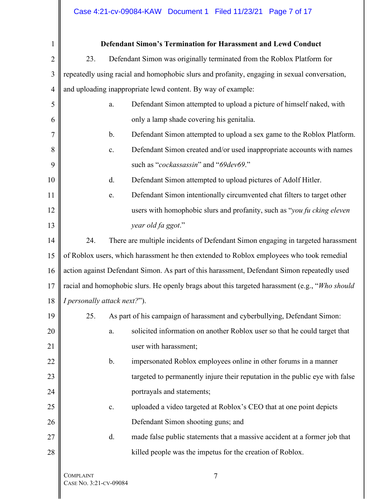# Case 4:21-cv-09084-KAW Document 1 Filed 11/23/21 Page 7 of 17

 $\mathbb{I}$ 

| 1              |                                            | <b>Defendant Simon's Termination for Harassment and Lewd Conduct</b>                           |
|----------------|--------------------------------------------|------------------------------------------------------------------------------------------------|
| $\overline{2}$ | 23.                                        | Defendant Simon was originally terminated from the Roblox Platform for                         |
| 3              |                                            | repeatedly using racial and homophobic slurs and profanity, engaging in sexual conversation,   |
| $\overline{4}$ |                                            | and uploading inappropriate lewd content. By way of example:                                   |
| 5              | a.                                         | Defendant Simon attempted to upload a picture of himself naked, with                           |
| 6              |                                            | only a lamp shade covering his genitalia.                                                      |
| 7              | $\mathbf b$ .                              | Defendant Simon attempted to upload a sex game to the Roblox Platform.                         |
| 8              | c.                                         | Defendant Simon created and/or used inappropriate accounts with names                          |
| 9              |                                            | such as "cockassassin" and "69dev69."                                                          |
| 10             | d.                                         | Defendant Simon attempted to upload pictures of Adolf Hitler.                                  |
| 11             | e.                                         | Defendant Simon intentionally circumvented chat filters to target other                        |
| 12             |                                            | users with homophobic slurs and profanity, such as "you fu cking eleven"                       |
| 13             |                                            | year old fa ggot."                                                                             |
| 14             | 24.                                        | There are multiple incidents of Defendant Simon engaging in targeted harassment                |
| 15             |                                            | of Roblox users, which harassment he then extended to Roblox employees who took remedial       |
| 16             |                                            | action against Defendant Simon. As part of this harassment, Defendant Simon repeatedly used    |
| 17             |                                            | racial and homophobic slurs. He openly brags about this targeted harassment (e.g., "Who should |
| 18             | I personally attack next?").               |                                                                                                |
| 19             | 25.                                        | As part of his campaign of harassment and cyberbullying, Defendant Simon:                      |
| 20             | a.                                         | solicited information on another Roblox user so that he could target that                      |
| 21             |                                            | user with harassment;                                                                          |
| 22             | b.                                         | impersonated Roblox employees online in other forums in a manner                               |
| 23             |                                            | targeted to permanently injure their reputation in the public eye with false                   |
| 24             |                                            | portrayals and statements;                                                                     |
| 25             | $\mathbf{c}.$                              | uploaded a video targeted at Roblox's CEO that at one point depicts                            |
| 26             |                                            | Defendant Simon shooting guns; and                                                             |
| 27             | d.                                         | made false public statements that a massive accident at a former job that                      |
| 28             |                                            | killed people was the impetus for the creation of Roblox.                                      |
|                | <b>COMPLAINT</b><br>CASE No. 3:21-CV-09084 | 7                                                                                              |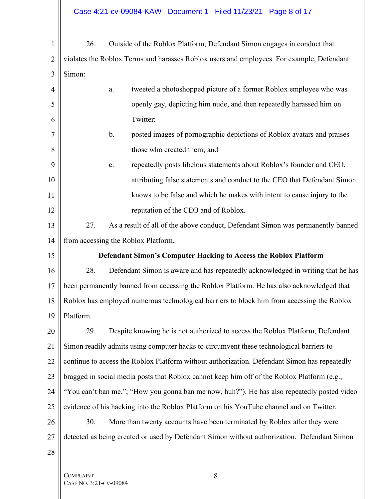# Case 4:21-cv-09084-KAW Document 1 Filed 11/23/21 Page 8 of 17

| $\mathbf{1}$   | 26.       | Outside of the Roblox Platform, Defendant Simon engages in conduct that                      |
|----------------|-----------|----------------------------------------------------------------------------------------------|
| $\overline{2}$ |           | violates the Roblox Terms and harasses Roblox users and employees. For example, Defendant    |
| 3              | Simon:    |                                                                                              |
| 4              |           | tweeted a photoshopped picture of a former Roblox employee who was<br>a.                     |
| 5              |           | openly gay, depicting him nude, and then repeatedly harassed him on                          |
| 6              |           | Twitter;                                                                                     |
| 7              |           | posted images of pornographic depictions of Roblox avatars and praises<br>b.                 |
| 8              |           | those who created them; and                                                                  |
| 9              |           | repeatedly posts libelous statements about Roblox's founder and CEO,<br>c.                   |
| 10             |           | attributing false statements and conduct to the CEO that Defendant Simon                     |
| 11             |           | knows to be false and which he makes with intent to cause injury to the                      |
| 12             |           | reputation of the CEO and of Roblox.                                                         |
| 13             | 27.       | As a result of all of the above conduct, Defendant Simon was permanently banned              |
| 14             |           | from accessing the Roblox Platform.                                                          |
| 15             |           | <b>Defendant Simon's Computer Hacking to Access the Roblox Platform</b>                      |
| 16             | 28.       | Defendant Simon is aware and has repeatedly acknowledged in writing that he has              |
| 17             |           | been permanently banned from accessing the Roblox Platform. He has also acknowledged that    |
| 18             |           | Roblox has employed numerous technological barriers to block him from accessing the Roblox   |
| 19             | Platform. |                                                                                              |
| 20             | 29.       | Despite knowing he is not authorized to access the Roblox Platform, Defendant                |
| 21             |           | Simon readily admits using computer hacks to circumvent these technological barriers to      |
| 22             |           | continue to access the Roblox Platform without authorization. Defendant Simon has repeatedly |
| 23             |           | bragged in social media posts that Roblox cannot keep him off of the Roblox Platform (e.g.,  |
| 24             |           | "You can't ban me."; "How you gonna ban me now, huh?"). He has also repeatedly posted video  |
| 25             |           | evidence of his hacking into the Roblox Platform on his YouTube channel and on Twitter.      |
| 26             | 30.       | More than twenty accounts have been terminated by Roblox after they were                     |
| 27             |           | detected as being created or used by Defendant Simon without authorization. Defendant Simon  |
| 28             |           |                                                                                              |
|                |           |                                                                                              |

COMPLAINT CASE NO. 3:21-CV-09084

 $\blacksquare$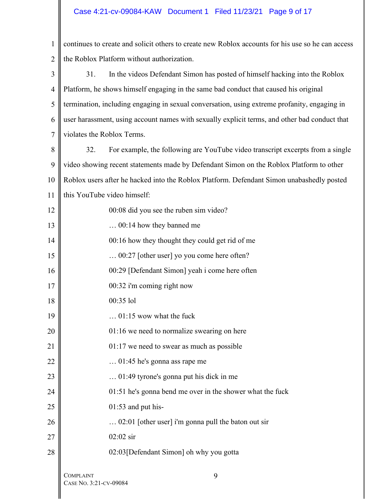# Case 4:21-cv-09084-KAW Document 1 Filed 11/23/21 Page 9 of 17

| $\mathbf{1}$   | continues to create and solicit others to create new Roblox accounts for his use so he can access |
|----------------|---------------------------------------------------------------------------------------------------|
| $\overline{2}$ | the Roblox Platform without authorization.                                                        |
| 3              | In the videos Defendant Simon has posted of himself hacking into the Roblox<br>31.                |
| $\overline{4}$ | Platform, he shows himself engaging in the same bad conduct that caused his original              |
| 5              | termination, including engaging in sexual conversation, using extreme profanity, engaging in      |
| 6              | user harassment, using account names with sexually explicit terms, and other bad conduct that     |
| $\overline{7}$ | violates the Roblox Terms.                                                                        |
| 8              | For example, the following are YouTube video transcript excerpts from a single<br>32.             |
| 9              | video showing recent statements made by Defendant Simon on the Roblox Platform to other           |
| 10             | Roblox users after he hacked into the Roblox Platform. Defendant Simon unabashedly posted         |
| 11             | this YouTube video himself:                                                                       |
| 12             | 00:08 did you see the ruben sim video?                                                            |
| 13             | 00:14 how they banned me                                                                          |
| 14             | 00:16 how they thought they could get rid of me                                                   |
| 15             | 00:27 [other user] yo you come here often?                                                        |
| 16             | 00:29 [Defendant Simon] yeah i come here often                                                    |
| 17             | 00:32 i'm coming right now                                                                        |
| 18             | 00:35 lol                                                                                         |
| 19             | $01:15$ wow what the fuck                                                                         |
| 20             | 01:16 we need to normalize swearing on here                                                       |
| 21             | $01:17$ we need to swear as much as possible                                                      |
| 22             | $\ldots$ 01:45 he's gonna ass rape me                                                             |
| 23             | $\ldots$ 01:49 tyrone's gonna put his dick in me                                                  |
| 24             | 01:51 he's gonna bend me over in the shower what the fuck                                         |
| 25             | $01:53$ and put his-                                                                              |
| 26             | 02:01 [other user] i'm gonna pull the baton out sir                                               |
| 27             | $02:02$ sir                                                                                       |
| 28             | 02:03 [Defendant Simon] oh why you gotta                                                          |
|                | <b>COMPLAINT</b><br>9                                                                             |

CASE NO. 3:21-CV-09084

 $\mathbf{I}$ 

 $\mathbb{I}$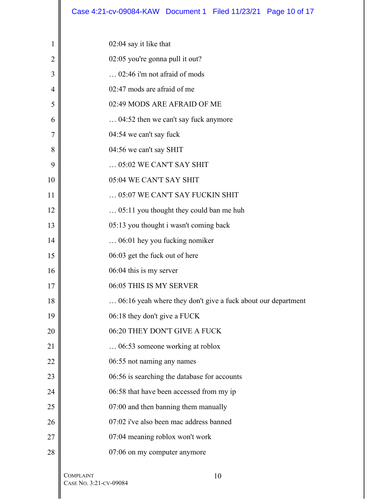|                | Case 4:21-cv-09084-KAW Document 1 Filed 11/23/21 Page 10 of 17 |
|----------------|----------------------------------------------------------------|
|                |                                                                |
| 1              | $02:04$ say it like that                                       |
| $\overline{2}$ | 02:05 you're gonna pull it out?                                |
| 3              | 02:46 i'm not afraid of mods                                   |
| 4              | 02:47 mods are afraid of me                                    |
| 5              | 02:49 MODS ARE AFRAID OF ME                                    |
| 6              | 04:52 then we can't say fuck anymore                           |
| 7              | 04:54 we can't say fuck                                        |
| 8              | 04:56 we can't say SHIT                                        |
| 9              | $\ldots$ 05:02 WE CAN'T SAY SHIT                               |
| 10             | 05:04 WE CAN'T SAY SHIT                                        |
| 11             | 05:07 WE CAN'T SAY FUCKIN SHIT                                 |
| 12             | 05:11 you thought they could ban me huh                        |
| 13             | 05:13 you thought i wasn't coming back                         |
| 14             | 06:01 hey you fucking nomiker                                  |
| 15             | 06:03 get the fuck out of here                                 |
| 16             | 06:04 this is my server                                        |
| 17             | 06:05 THIS IS MY SERVER                                        |
| 18             | 06:16 yeah where they don't give a fuck about our department   |
| 19             | 06:18 they don't give a FUCK                                   |
| 20             | 06:20 THEY DON'T GIVE A FUCK                                   |
| 21             | 06:53 someone working at roblox                                |
| 22             | 06:55 not naming any names                                     |
| 23             | 06:56 is searching the database for accounts                   |
| 24             | 06:58 that have been accessed from my ip                       |
| 25             | 07:00 and then banning them manually                           |
| 26             | 07:02 i've also been mac address banned                        |
| 27             | 07:04 meaning roblox won't work                                |
| 28             | 07:06 on my computer anymore                                   |
|                |                                                                |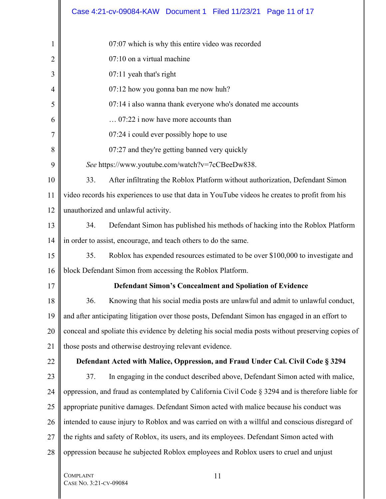|    | Case 4:21-cv-09084-KAW Document 1 Filed 11/23/21 Page 11 of 17                                     |
|----|----------------------------------------------------------------------------------------------------|
| 1  | 07:07 which is why this entire video was recorded                                                  |
| 2  | 07:10 on a virtual machine                                                                         |
| 3  | 07:11 yeah that's right                                                                            |
| 4  | 07:12 how you gonna ban me now huh?                                                                |
| 5  | 07:14 i also wanna thank everyone who's donated me accounts                                        |
| 6  | 07:22 i now have more accounts than                                                                |
| 7  | $07:24$ i could ever possibly hope to use                                                          |
| 8  | 07:27 and they're getting banned very quickly                                                      |
| 9  | See https://www.youtube.com/watch?v=7cCBeeDw838.                                                   |
| 10 | After infiltrating the Roblox Platform without authorization, Defendant Simon<br>33.               |
| 11 | video records his experiences to use that data in YouTube videos he creates to profit from his     |
| 12 | unauthorized and unlawful activity.                                                                |
| 13 | Defendant Simon has published his methods of hacking into the Roblox Platform<br>34.               |
| 14 | in order to assist, encourage, and teach others to do the same.                                    |
| 15 | 35.<br>Roblox has expended resources estimated to be over \$100,000 to investigate and             |
| 16 | block Defendant Simon from accessing the Roblox Platform.                                          |
| 17 | <b>Defendant Simon's Concealment and Spoliation of Evidence</b>                                    |
| 18 | Knowing that his social media posts are unlawful and admit to unlawful conduct,<br>36.             |
| 19 | and after anticipating litigation over those posts, Defendant Simon has engaged in an effort to    |
| 20 | conceal and spoliate this evidence by deleting his social media posts without preserving copies of |
| 21 | those posts and otherwise destroying relevant evidence.                                            |
| 22 | Defendant Acted with Malice, Oppression, and Fraud Under Cal. Civil Code § 3294                    |
| 23 | In engaging in the conduct described above, Defendant Simon acted with malice,<br>37.              |
| 24 | oppression, and fraud as contemplated by California Civil Code § 3294 and is therefore liable for  |
| 25 | appropriate punitive damages. Defendant Simon acted with malice because his conduct was            |
| 26 | intended to cause injury to Roblox and was carried on with a willful and conscious disregard of    |
| 27 | the rights and safety of Roblox, its users, and its employees. Defendant Simon acted with          |
| 28 | oppression because he subjected Roblox employees and Roblox users to cruel and unjust              |
|    | <b>COMPLAINT</b><br>11                                                                             |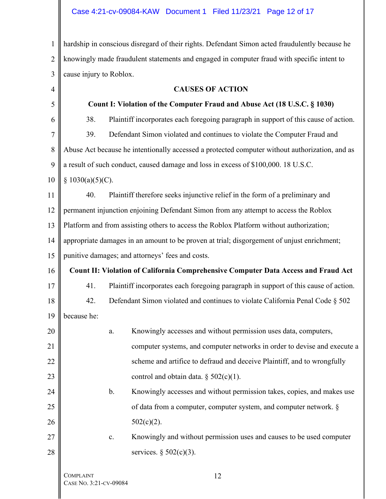## Case 4:21-cv-09084-KAW Document 1 Filed 11/23/21 Page 12 of 17

1 2 3 hardship in conscious disregard of their rights. Defendant Simon acted fraudulently because he knowingly made fraudulent statements and engaged in computer fraud with specific intent to cause injury to Roblox.

| $\overline{4}$ |                                            | <b>CAUSES OF ACTION</b>                                                                        |
|----------------|--------------------------------------------|------------------------------------------------------------------------------------------------|
| 5              |                                            | Count I: Violation of the Computer Fraud and Abuse Act (18 U.S.C. § 1030)                      |
| 6              | 38.                                        | Plaintiff incorporates each foregoing paragraph in support of this cause of action.            |
| $\overline{7}$ | 39.                                        | Defendant Simon violated and continues to violate the Computer Fraud and                       |
| 8              |                                            | Abuse Act because he intentionally accessed a protected computer without authorization, and as |
| 9              |                                            | a result of such conduct, caused damage and loss in excess of \$100,000. 18 U.S.C.             |
| 10             | § 1030(a)(5)(C).                           |                                                                                                |
| 11             | 40.                                        | Plaintiff therefore seeks injunctive relief in the form of a preliminary and                   |
| 12             |                                            | permanent injunction enjoining Defendant Simon from any attempt to access the Roblox           |
| 13             |                                            | Platform and from assisting others to access the Roblox Platform without authorization;        |
| 14             |                                            | appropriate damages in an amount to be proven at trial; disgorgement of unjust enrichment;     |
| 15             |                                            | punitive damages; and attorneys' fees and costs.                                               |
| 16             |                                            | Count II: Violation of California Comprehensive Computer Data Access and Fraud Act             |
| 17             | 41.                                        | Plaintiff incorporates each foregoing paragraph in support of this cause of action.            |
| 18             | 42.                                        | Defendant Simon violated and continues to violate California Penal Code § 502                  |
| 19             | because he:                                |                                                                                                |
| 20             |                                            | Knowingly accesses and without permission uses data, computers,<br>a.                          |
| 21             |                                            | computer systems, and computer networks in order to devise and execute a                       |
| 22             |                                            | scheme and artifice to defraud and deceive Plaintiff, and to wrongfully                        |
| 23             |                                            | control and obtain data. $\S$ 502(c)(1).                                                       |
| 24             |                                            | Knowingly accesses and without permission takes, copies, and makes use<br>$\mathbf b$ .        |
| 25             |                                            | of data from a computer, computer system, and computer network. §                              |
| 26             |                                            | $502(c)(2)$ .                                                                                  |
| 27             |                                            | Knowingly and without permission uses and causes to be used computer<br>c.                     |
| 28             |                                            | services. $\S$ 502(c)(3).                                                                      |
|                | <b>COMPLAINT</b><br>CASE No. 3:21-CV-09084 | 12                                                                                             |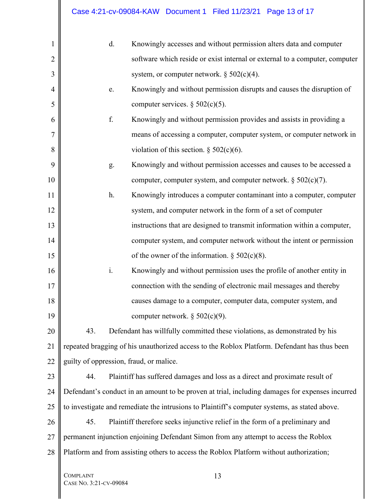| 1              | d.                                                  | Knowingly accesses and without permission alters data and computer                              |
|----------------|-----------------------------------------------------|-------------------------------------------------------------------------------------------------|
| $\overline{2}$ |                                                     | software which reside or exist internal or external to a computer, computer                     |
| 3              |                                                     | system, or computer network. $\S 502(c)(4)$ .                                                   |
| $\overline{4}$ | e.                                                  | Knowingly and without permission disrupts and causes the disruption of                          |
| 5              |                                                     | computer services. $\S 502(c)(5)$ .                                                             |
| 6              | f.                                                  | Knowingly and without permission provides and assists in providing a                            |
| 7              |                                                     | means of accessing a computer, computer system, or computer network in                          |
| 8              |                                                     | violation of this section. $\S$ 502(c)(6).                                                      |
| 9              | g.                                                  | Knowingly and without permission accesses and causes to be accessed a                           |
| 10             |                                                     | computer, computer system, and computer network. $\S 502(c)(7)$ .                               |
| 11             | h.                                                  | Knowingly introduces a computer contaminant into a computer, computer                           |
| 12             |                                                     | system, and computer network in the form of a set of computer                                   |
| 13             |                                                     | instructions that are designed to transmit information within a computer,                       |
| 14             |                                                     | computer system, and computer network without the intent or permission                          |
| 15             |                                                     | of the owner of the information. $\S 502(c)(8)$ .                                               |
| 16             | $\mathbf{i}$ .                                      | Knowingly and without permission uses the profile of another entity in                          |
| 17             |                                                     | connection with the sending of electronic mail messages and thereby                             |
| 18             |                                                     | causes damage to a computer, computer data, computer system, and                                |
| 19             |                                                     | computer network. $\S 502(c)(9)$ .                                                              |
| 20             | 43.                                                 | Defendant has willfully committed these violations, as demonstrated by his                      |
| 21             |                                                     | repeated bragging of his unauthorized access to the Roblox Platform. Defendant has thus been    |
| 22             |                                                     | guilty of oppression, fraud, or malice.                                                         |
| 23             | 44.                                                 | Plaintiff has suffered damages and loss as a direct and proximate result of                     |
| 24             |                                                     | Defendant's conduct in an amount to be proven at trial, including damages for expenses incurred |
| 25             |                                                     | to investigate and remediate the intrusions to Plaintiff's computer systems, as stated above.   |
| 26             | 45.                                                 | Plaintiff therefore seeks injunctive relief in the form of a preliminary and                    |
| 27             |                                                     | permanent injunction enjoining Defendant Simon from any attempt to access the Roblox            |
| 28             |                                                     | Platform and from assisting others to access the Roblox Platform without authorization;         |
|                | <b>COMPLAINT</b><br>$\sqrt{2}$ SE No. 3.21-CV-09084 | 13                                                                                              |

 $\parallel$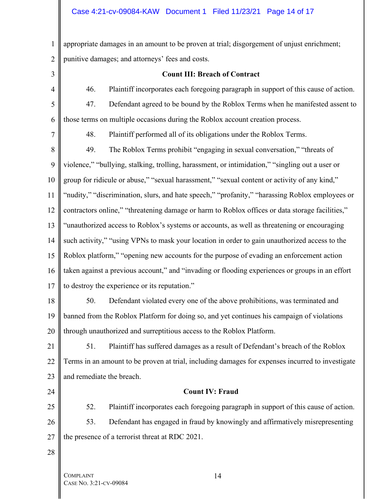## Case 4:21-cv-09084-KAW Document 1 Filed 11/23/21 Page 14 of 17

1 2 appropriate damages in an amount to be proven at trial; disgorgement of unjust enrichment; punitive damages; and attorneys' fees and costs.

3

4

### **Count III: Breach of Contract**

46. Plaintiff incorporates each foregoing paragraph in support of this cause of action.

5 6 47. Defendant agreed to be bound by the Roblox Terms when he manifested assent to those terms on multiple occasions during the Roblox account creation process.

7

48. Plaintiff performed all of its obligations under the Roblox Terms.

8 9 10 11 12 13 14 15 16 17 49. The Roblox Terms prohibit "engaging in sexual conversation," "threats of violence," "bullying, stalking, trolling, harassment, or intimidation," "singling out a user or group for ridicule or abuse," "sexual harassment," "sexual content or activity of any kind," "nudity," "discrimination, slurs, and hate speech," "profanity," "harassing Roblox employees or contractors online," "threatening damage or harm to Roblox offices or data storage facilities," "unauthorized access to Roblox's systems or accounts, as well as threatening or encouraging such activity," "using VPNs to mask your location in order to gain unauthorized access to the Roblox platform," "opening new accounts for the purpose of evading an enforcement action taken against a previous account," and "invading or flooding experiences or groups in an effort to destroy the experience or its reputation."

18 19

20 50. Defendant violated every one of the above prohibitions, was terminated and banned from the Roblox Platform for doing so, and yet continues his campaign of violations through unauthorized and surreptitious access to the Roblox Platform.

21 22 23 51. Plaintiff has suffered damages as a result of Defendant's breach of the Roblox Terms in an amount to be proven at trial, including damages for expenses incurred to investigate and remediate the breach.

24

## **Count IV: Fraud**

25 26 27 52. Plaintiff incorporates each foregoing paragraph in support of this cause of action. 53. Defendant has engaged in fraud by knowingly and affirmatively misrepresenting the presence of a terrorist threat at RDC 2021.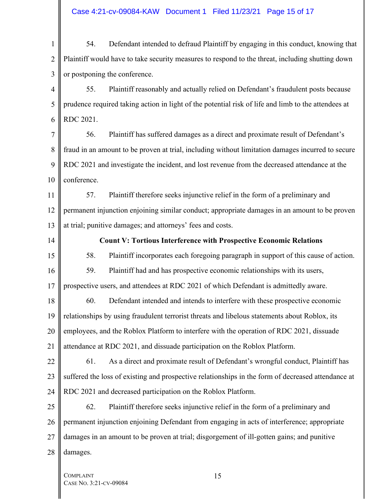# Case 4:21-cv-09084-KAW Document 1 Filed 11/23/21 Page 15 of 17

| $\mathbf{1}$   | 54.         | Defendant intended to defraud Plaintiff by engaging in this conduct, knowing that                   |
|----------------|-------------|-----------------------------------------------------------------------------------------------------|
| $\overline{2}$ |             | Plaintiff would have to take security measures to respond to the threat, including shutting down    |
| 3              |             | or postponing the conference.                                                                       |
| $\overline{4}$ | 55.         | Plaintiff reasonably and actually relied on Defendant's fraudulent posts because                    |
| 5              |             | prudence required taking action in light of the potential risk of life and limb to the attendees at |
| 6              | RDC 2021.   |                                                                                                     |
| 7              | 56.         | Plaintiff has suffered damages as a direct and proximate result of Defendant's                      |
| 8              |             | fraud in an amount to be proven at trial, including without limitation damages incurred to secure   |
| 9              |             | RDC 2021 and investigate the incident, and lost revenue from the decreased attendance at the        |
| 10             | conference. |                                                                                                     |
| 11             | 57.         | Plaintiff therefore seeks injunctive relief in the form of a preliminary and                        |
| 12             |             | permanent injunction enjoining similar conduct; appropriate damages in an amount to be proven       |
| 13             |             | at trial; punitive damages; and attorneys' fees and costs.                                          |
| 14             |             | <b>Count V: Tortious Interference with Prospective Economic Relations</b>                           |
| 15             | 58.         | Plaintiff incorporates each foregoing paragraph in support of this cause of action.                 |
| 16             | 59.         | Plaintiff had and has prospective economic relationships with its users,                            |
| 17             |             | prospective users, and attendees at RDC 2021 of which Defendant is admittedly aware.                |
| 18             | 60.         | Defendant intended and intends to interfere with these prospective economic                         |
| 19             |             | relationships by using fraudulent terrorist threats and libelous statements about Roblox, its       |
| 20             |             | employees, and the Roblox Platform to interfere with the operation of RDC 2021, dissuade            |
| 21             |             | attendance at RDC 2021, and dissuade participation on the Roblox Platform.                          |
| 22             | 61.         | As a direct and proximate result of Defendant's wrongful conduct, Plaintiff has                     |
| 23             |             | suffered the loss of existing and prospective relationships in the form of decreased attendance at  |
| 24             |             | RDC 2021 and decreased participation on the Roblox Platform.                                        |
| 25             | 62.         | Plaintiff therefore seeks injunctive relief in the form of a preliminary and                        |
| 26             |             | permanent injunction enjoining Defendant from engaging in acts of interference; appropriate         |
| 27             |             | damages in an amount to be proven at trial; disgorgement of ill-gotten gains; and punitive          |
| 28             | damages.    |                                                                                                     |
|                |             |                                                                                                     |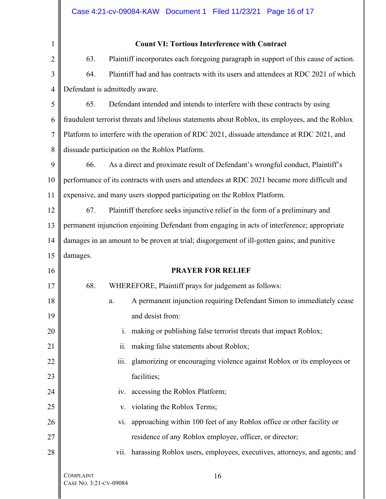| 1              | <b>Count VI: Tortious Interference with Contract</b>                                             |
|----------------|--------------------------------------------------------------------------------------------------|
| $\overline{2}$ | 63.<br>Plaintiff incorporates each foregoing paragraph in support of this cause of action.       |
| 3              | 64.<br>Plaintiff had and has contracts with its users and attendees at RDC 2021 of which         |
| $\overline{4}$ | Defendant is admittedly aware.                                                                   |
| 5              | 65.<br>Defendant intended and intends to interfere with these contracts by using                 |
| 6              | fraudulent terrorist threats and libelous statements about Roblox, its employees, and the Roblox |
| 7              | Platform to interfere with the operation of RDC 2021, dissuade attendance at RDC 2021, and       |
| 8              | dissuade participation on the Roblox Platform.                                                   |
| 9              | 66.<br>As a direct and proximate result of Defendant's wrongful conduct, Plaintiff's             |
| 10             | performance of its contracts with users and attendees at RDC 2021 became more difficult and      |
| 11             | expensive, and many users stopped participating on the Roblox Platform.                          |
| 12             | Plaintiff therefore seeks injunctive relief in the form of a preliminary and<br>67.              |
| 13             | permanent injunction enjoining Defendant from engaging in acts of interference; appropriate      |
| 14             | damages in an amount to be proven at trial; disgorgement of ill-gotten gains; and punitive       |
| 15             | damages.                                                                                         |
| 16             | <b>PRAYER FOR RELIEF</b>                                                                         |
| 17             | 68.<br>WHEREFORE, Plaintiff prays for judgement as follows:                                      |
| 18             | A permanent injunction requiring Defendant Simon to immediately cease<br>a.                      |
| 19             | and desist from:                                                                                 |
| 20             | making or publishing false terrorist threats that impact Roblox;<br>i.                           |
| 21             | making false statements about Roblox;<br>ii.                                                     |
| 22             | glamorizing or encouraging violence against Roblox or its employees or<br>iii.                   |
| 23             | facilities;                                                                                      |
| 24             | iv. accessing the Roblox Platform;                                                               |
| 25             | violating the Roblox Terms;<br>V.                                                                |
| 26             | approaching within 100 feet of any Roblox office or other facility or<br>V1.                     |
| 27             | residence of any Roblox employee, officer, or director;                                          |
| 28             | vii. harassing Roblox users, employees, executives, attorneys, and agents; and                   |
|                | <b>COMPLAINT</b><br>16                                                                           |

 $\mathbb{I}$